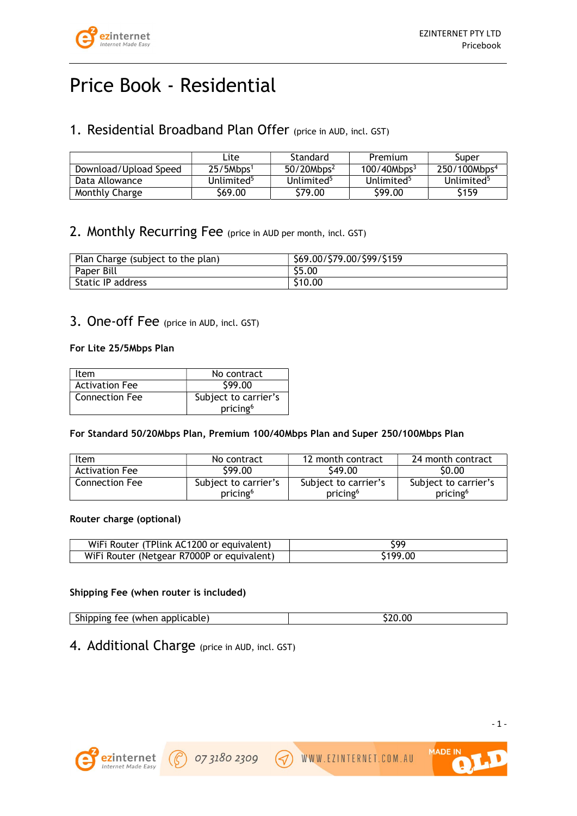

# Price Book - Residential

## 1. Residential Broadband Plan Offer (price in AUD, incl. GST)

|                       | ∟ite                   | Standard               | Premium                 | Super                    |
|-----------------------|------------------------|------------------------|-------------------------|--------------------------|
| Download/Upload Speed | 25/5Mbps <sup>1</sup>  | 50/20Mbps <sup>2</sup> | 100/40Mbps <sup>3</sup> | 250/100Mbps <sup>4</sup> |
| Data Allowance        | Unlimited <sup>5</sup> | Unlimited <sup>5</sup> | Unlimited <sup>5</sup>  | Unlimited <sup>5</sup>   |
| Monthly Charge        | \$69.00                | \$79.00                | \$99.00                 | \$159                    |

## 2. Monthly Recurring Fee (price in AUD per month, incl. GST)

| Plan Charge (subject to the plan) | \$69.00/\$79.00/\$99/\$159 |
|-----------------------------------|----------------------------|
| Paper Bill                        | \$5.00                     |
| Static IP address                 | \$10.00                    |

## 3. One-off Fee (price in AUD, incl. GST)

#### For Lite 25/5Mbps Plan

| Item                  | No contract          |
|-----------------------|----------------------|
| <b>Activation Fee</b> | \$99.00              |
| <b>Connection Fee</b> | Subject to carrier's |
|                       | pricing <sup>6</sup> |

## For Standard 50/20Mbps Plan, Premium 100/40Mbps Plan and Super 250/100Mbps Plan

| Item                  | No contract                                  | 12 month contract                            | 24 month contract                            |
|-----------------------|----------------------------------------------|----------------------------------------------|----------------------------------------------|
| <b>Activation Fee</b> | \$99.00                                      | \$49.00                                      | \$0.00                                       |
| <b>Connection Fee</b> | Subject to carrier's<br>pricing <sup>6</sup> | Subject to carrier's<br>pricing <sup>6</sup> | Subject to carrier's<br>pricing <sup>6</sup> |

#### Router charge (optional)

| WiFi Router (TPlink AC1200 or equivalent)  | 590      |
|--------------------------------------------|----------|
| WiFi Router (Netgear R7000P or equivalent) | \$199.00 |

## Shipping Fee (when router is included)

| Shipping fee (when applicable) | \$20.00 |
|--------------------------------|---------|

4. Additional Charge (price in AUD, incl. GST)

07 3180 2309



**MADE IN** 

WWW.EZINTERNET.COM.AU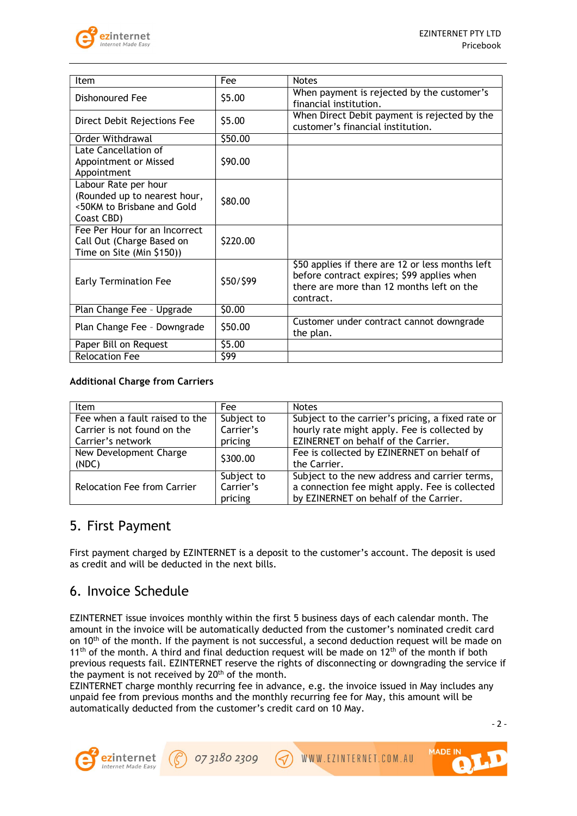

| Item                                                                                             | Fee       | <b>Notes</b>                                                                                                                                             |
|--------------------------------------------------------------------------------------------------|-----------|----------------------------------------------------------------------------------------------------------------------------------------------------------|
| Dishonoured Fee                                                                                  | \$5.00    | When payment is rejected by the customer's<br>financial institution.                                                                                     |
| Direct Debit Rejections Fee                                                                      | \$5.00    | When Direct Debit payment is rejected by the<br>customer's financial institution.                                                                        |
| Order Withdrawal                                                                                 | \$50.00   |                                                                                                                                                          |
| Late Cancellation of<br>Appointment or Missed<br>Appointment                                     | \$90.00   |                                                                                                                                                          |
| Labour Rate per hour<br>(Rounded up to nearest hour,<br><50KM to Brisbane and Gold<br>Coast CBD) | \$80.00   |                                                                                                                                                          |
| Fee Per Hour for an Incorrect<br>Call Out (Charge Based on<br>Time on Site (Min \$150))          | \$220.00  |                                                                                                                                                          |
| <b>Early Termination Fee</b>                                                                     | \$50/\$99 | \$50 applies if there are 12 or less months left<br>before contract expires; \$99 applies when<br>there are more than 12 months left on the<br>contract. |
| Plan Change Fee - Upgrade                                                                        | \$0.00    |                                                                                                                                                          |
| Plan Change Fee - Downgrade                                                                      | \$50.00   | Customer under contract cannot downgrade<br>the plan.                                                                                                    |
| Paper Bill on Request                                                                            | \$5.00    |                                                                                                                                                          |
| <b>Relocation Fee</b>                                                                            | \$99      |                                                                                                                                                          |

#### Additional Charge from Carriers

| Item                           | Fee        | <b>Notes</b>                                      |
|--------------------------------|------------|---------------------------------------------------|
| Fee when a fault raised to the | Subject to | Subject to the carrier's pricing, a fixed rate or |
| Carrier is not found on the    | Carrier's  | hourly rate might apply. Fee is collected by      |
| Carrier's network              | pricing    | EZINERNET on behalf of the Carrier.               |
| New Development Charge         | \$300.00   | Fee is collected by EZINERNET on behalf of        |
| (NDC)                          |            | the Carrier.                                      |
|                                | Subject to | Subject to the new address and carrier terms,     |
| Relocation Fee from Carrier    | Carrier's  | a connection fee might apply. Fee is collected    |
|                                | pricing    | by EZINERNET on behalf of the Carrier.            |

## 5. First Payment

First payment charged by EZINTERNET is a deposit to the customer's account. The deposit is used as credit and will be deducted in the next bills.

## 6. Invoice Schedule

EZINTERNET issue invoices monthly within the first 5 business days of each calendar month. The amount in the invoice will be automatically deducted from the customer's nominated credit card on 10<sup>th</sup> of the month. If the payment is not successful, a second deduction request will be made on  $11<sup>th</sup>$  of the month. A third and final deduction request will be made on  $12<sup>th</sup>$  of the month if both previous requests fail. EZINTERNET reserve the rights of disconnecting or downgrading the service if the payment is not received by 20<sup>th</sup> of the month.

EZINTERNET charge monthly recurring fee in advance, e.g. the invoice issued in May includes any unpaid fee from previous months and the monthly recurring fee for May, this amount will be automatically deducted from the customer's credit card on 10 May.

 $-2 -$